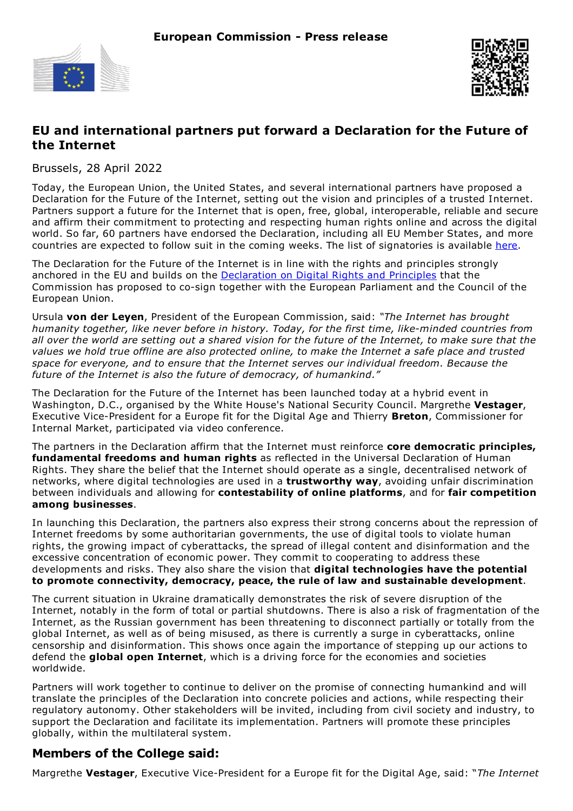



# **EU and international partners put forward a Declaration for the Future of the Internet**

Brussels, 28 April 2022

Today, the European Union, the United States, and several international partners have proposed a Declaration for the Future of the Internet, setting out the vision and principles of a trusted Internet. Partners support a future for the Internet that is open, free, global, interoperable, reliable and secure and affirm their commitment to protecting and respecting human rights online and across the digital world. So far, 60 partners have endorsed the Declaration, including all EU Member States, and more countries are expected to follow suit in the coming weeks. The list of signatories is available [here](https://digital-strategy.ec.europa.eu/news-redirect/743990).

The Declaration for the Future of the Internet is in line with the rights and principles strongly anchored in the EU and builds on the [Declaration](https://ec.europa.eu/commission/presscorner/detail/en/IP_22_452) on Digital Rights and Principles that the Commission has proposed to co-sign together with the European Parliament and the Council of the European Union.

Ursula **von der Leyen**, President of the European Commission, said: *"The Internet has brought humanity together, like never before in history. Today, for the first time, like-minded countries from* all over the world are setting out a shared vision for the future of the Internet, to make sure that the values we hold true offline are also protected online, to make the Internet a safe place and trusted *space for everyone, and to ensure that the Internet serves our individual freedom. Because the future of the Internet is also the future of democracy, of humankind."*

The Declaration for the Future of the Internet has been launched today at a hybrid event in Washington, D.C., organised by the White House's National Security Council. Margrethe **Vestager**, Executive Vice-President for a Europe fit for the Digital Age and Thierry **Breton**, Commissioner for Internal Market, participated via video conference.

The partners in the Declaration affirm that the Internet must reinforce **core democratic principles, fundamental freedoms and human rights** as reflected in the Universal Declaration of Human Rights. They share the belief that the Internet should operate as a single, decentralised network of networks, where digital technologies are used in a **trustworthy way**, avoiding unfair discrimination between individuals and allowing for **contestability of online platforms**, and for **fair competition among businesses**.

In launching this Declaration, the partners also express their strong concerns about the repression of Internet freedoms by some authoritarian governments, the use of digital tools to violate human rights, the growing impact of cyberattacks, the spread of illegal content and disinformation and the excessive concentration of economic power. They commit to cooperating to address these developments and risks. They also share the vision that **digital technologies have the potential to promote connectivity, democracy, peace, the rule of law and sustainable development**.

The current situation in Ukraine dramatically demonstrates the risk of severe disruption of the Internet, notably in the form of total or partial shutdowns. There is also a risk of fragmentation of the Internet, as the Russian government has been threatening to disconnect partially or totally from the global Internet, as well as of being misused, as there is currently a surge in cyberattacks, online censorship and disinformation. This shows once again the importance of stepping up our actions to defend the **global open Internet**, which is a driving force for the economies and societies worldwide.

Partners will work together to continue to deliver on the promise of connecting humankind and will translate the principles of the Declaration into concrete policies and actions, while respecting their regulatory autonomy. Other stakeholders will be invited, including from civil society and industry, to support the Declaration and facilitate its implementation. Partners will promote these principles globally, within the multilateral system.

## **Members of the College said:**

Margrethe **Vestager**, Executive Vice-President for a Europe fit for the Digital Age, said: "*The Internet*